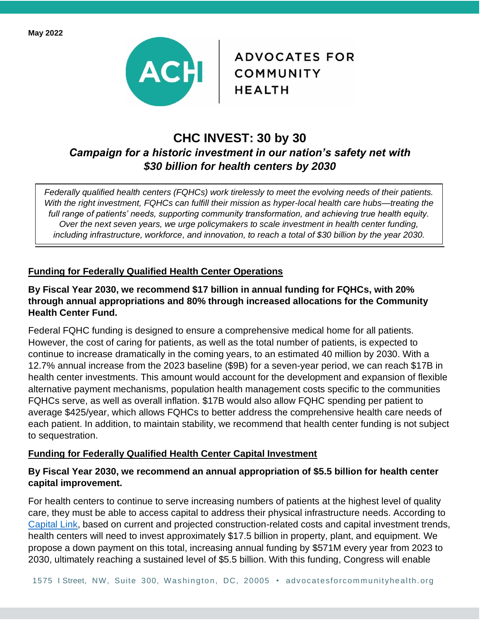

**ADVOCATES FOR** 

# **CHC INVEST: 30 by 30** *Campaign for a historic investment in our nation's safety net with \$30 billion for health centers by 2030*

*Federally qualified health centers (FQHCs) work tirelessly to meet the evolving needs of their patients. With the right investment, FQHCs can fulfill their mission as hyper-local health care hubs—treating the full range of patients' needs, supporting community transformation, and achieving true health equity. Over the next seven years, we urge policymakers to scale investment in health center funding, including infrastructure, workforce, and innovation, to reach a total of \$30 billion by the year 2030.*

## **Funding for Federally Qualified Health Center Operations**

### **By Fiscal Year 2030, we recommend \$17 billion in annual funding for FQHCs, with 20% through annual appropriations and 80% through increased allocations for the Community Health Center Fund.**

Federal FQHC funding is designed to ensure a comprehensive medical home for all patients. However, the cost of caring for patients, as well as the total number of patients, is expected to continue to increase dramatically in the coming years, to an estimated 40 million by 2030. With a 12.7% annual increase from the 2023 baseline (\$9B) for a seven-year period, we can reach \$17B in health center investments. This amount would account for the development and expansion of flexible alternative payment mechanisms, population health management costs specific to the communities FQHCs serve, as well as overall inflation. \$17B would also allow FQHC spending per patient to average \$425/year, which allows FQHCs to better address the comprehensive health care needs of each patient. In addition, to maintain stability, we recommend that health center funding is not subject to sequestration.

### **Funding for Federally Qualified Health Center Capital Investment**

### **By Fiscal Year 2030, we recommend an annual appropriation of \$5.5 billion for health center capital improvement.**

For health centers to continue to serve increasing numbers of patients at the highest level of quality care, they must be able to access capital to address their physical infrastructure needs. According to [Capital Link,](https://www.caplink.org/images/Capital_Investment_Trends_and_Needs_of_FQHCs.pdf) based on current and projected construction-related costs and capital investment trends, health centers will need to invest approximately \$17.5 billion in property, plant, and equipment. We propose a down payment on this total, increasing annual funding by \$571M every year from 2023 to 2030, ultimately reaching a sustained level of \$5.5 billion. With this funding, Congress will enable